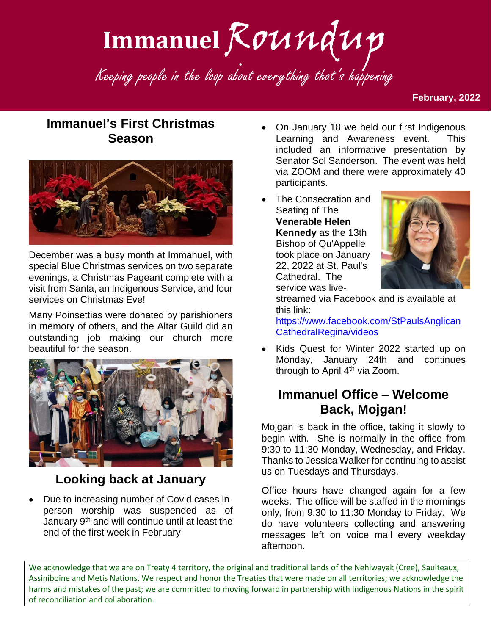# Immanuel Roundup

Keeping people in the loop about everything that's happening

#### **February, 2022**

## **Immanuel's First Christmas Season**



December was a busy month at Immanuel, with special Blue Christmas services on two separate evenings, a Christmas Pageant complete with a visit from Santa, an Indigenous Service, and four services on Christmas Eve!

Many Poinsettias were donated by parishioners in memory of others, and the Altar Guild did an outstanding job making our church more beautiful for the season.



## **Looking back at January**

• Due to increasing number of Covid cases inperson worship was suspended as of January 9<sup>th</sup> and will continue until at least the end of the first week in February

- On January 18 we held our first Indigenous Learning and Awareness event. This included an informative presentation by Senator Sol Sanderson. The event was held via ZOOM and there were approximately 40 participants.
- The Consecration and Seating of The **Venerable Helen Kennedy** as the 13th Bishop of Qu'Appelle took place on January 22, 2022 at St. Paul's Cathedral. The service was live-



streamed via Facebook and is available at this link:

[https://www.facebook.com/StPaulsAnglican](https://www.facebook.com/StPaulsAnglicanCathedralRegina/videos) [CathedralRegina/videos](https://www.facebook.com/StPaulsAnglicanCathedralRegina/videos)

• Kids Quest for Winter 2022 started up on Monday, January 24th and continues through to April  $4<sup>th</sup>$  via Zoom.

#### **Immanuel Office – Welcome Back, Mojgan!**

Mojgan is back in the office, taking it slowly to begin with. She is normally in the office from 9:30 to 11:30 Monday, Wednesday, and Friday. Thanks to Jessica Walker for continuing to assist us on Tuesdays and Thursdays.

Office hours have changed again for a few weeks. The office will be staffed in the mornings only, from 9:30 to 11:30 Monday to Friday. We do have volunteers collecting and answering messages left on voice mail every weekday afternoon.

We acknowledge that we are on Treaty 4 territory, the original and traditional lands of the Nehiwayak (Cree), Saulteaux, Assiniboine and Metis Nations. We respect and honor the Treaties that were made on all territories; we acknowledge the harms and mistakes of the past; we are committed to moving forward in partnership with Indigenous Nations in the spirit of reconciliation and collaboration.